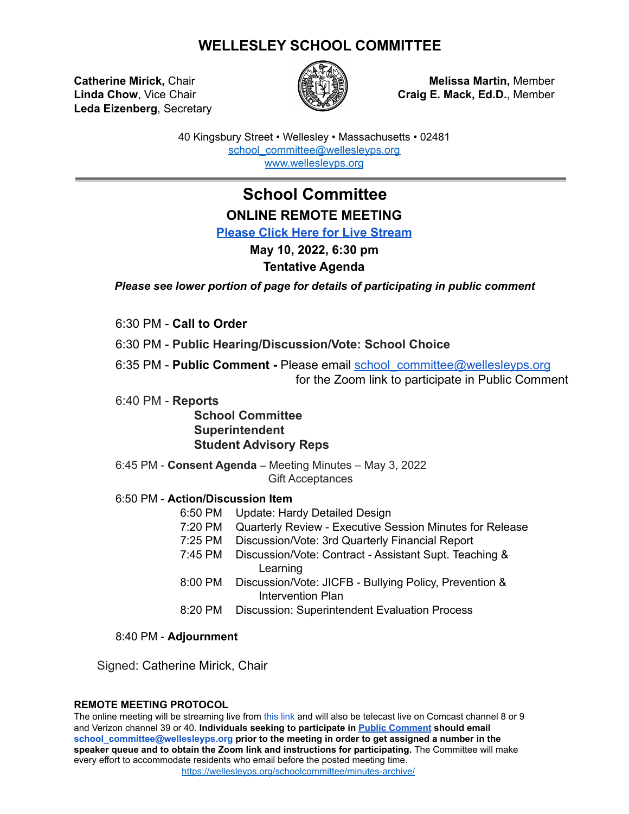# **WELLESLEY SCHOOL COMMITTEE**

**Leda Eizenberg**, Secretary



**Catherine Mirick,** Chair **Melissa Martin,** Member **Linda Chow**, Vice Chair **Craig E. Mack, Ed.D.**, Member

> 40 Kingsbury Street • Wellesley • Massachusetts • 02481 [school\\_committee@wellesleyps.org](mailto:school_committee@wellesleyps.org) [www.wellesleyps.org](http://www.wellesleyps.org)

# **School Committee ONLINE REMOTE MEETING**

**[Please Click Here for Live Stream](https://www.wellesleymedia.org/live-streaming.html)**

# **May 10, 2022, 6:30 pm**

## **Tentative Agenda**

*Please see lower portion of page for details of participating in public comment*

6:30 PM - **Call to Order**

6:30 PM - **Public Hearing/Discussion/Vote: School Choice**

6:35 PM - **Public Comment -** Please email [school\\_committee@wellesleyps.org](mailto:school_committee@wellesleyps.org) for the Zoom link to participate in Public Comment

6:40 PM - **Reports**

**School Committee Superintendent Student Advisory Reps**

6:45 PM - **Consent Agenda** – Meeting Minutes – May 3, 2022 Gift Acceptances

## 6:50 PM - **Action/Discussion Item**

- 6:50 PM Update: Hardy Detailed Design
- 7:20 PM Quarterly Review Executive Session Minutes for Release
- 7:25 PM Discussion/Vote: 3rd Quarterly Financial Report
- 7:45 PM Discussion/Vote: Contract Assistant Supt. Teaching & **Learning**
- 8:00 PM Discussion/Vote: JICFB Bullying Policy, Prevention & Intervention Plan
- 8:20 PM Discussion: Superintendent Evaluation Process

### 8:40 PM - **Adjournment**

Signed: Catherine Mirick, Chair

### **REMOTE MEETING PROTOCOL**

The online meeting will be streaming live from this link and will also be telecast live on Comcast channel 8 or 9 and Verizon channel 39 or 40. **Individuals seeking to participate in [Public Comment](https://z2policy.ctspublish.com/masc/browse/wellesleyset/wellesley/BEDH) should email school\_committee@wellesleyps.org prior to the meeting in order to get assigned a number in the speaker queue and to obtain the Zoom link and instructions for participating.** The Committee will make every effort to accommodate residents who email before the posted meeting time. https://wellesleyps.org/schoolcommittee/minutes-archive/